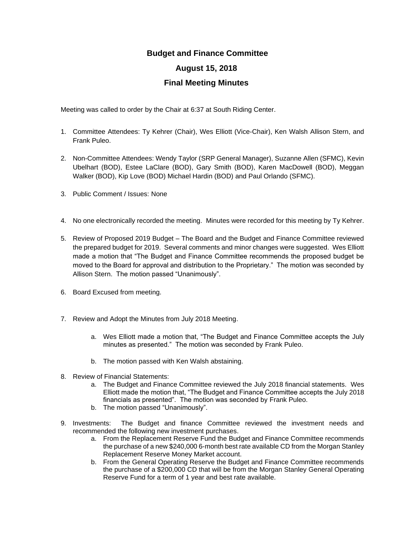## **Budget and Finance Committee**

## **August 15, 2018**

## **Final Meeting Minutes**

Meeting was called to order by the Chair at 6:37 at South Riding Center.

- 1. Committee Attendees: Ty Kehrer (Chair), Wes Elliott (Vice-Chair), Ken Walsh Allison Stern, and Frank Puleo.
- 2. Non-Committee Attendees: Wendy Taylor (SRP General Manager), Suzanne Allen (SFMC), Kevin Ubelhart (BOD), Estee LaClare (BOD), Gary Smith (BOD), Karen MacDowell (BOD), Meggan Walker (BOD), Kip Love (BOD) Michael Hardin (BOD) and Paul Orlando (SFMC).
- 3. Public Comment / Issues: None
- 4. No one electronically recorded the meeting. Minutes were recorded for this meeting by Ty Kehrer.
- 5. Review of Proposed 2019 Budget The Board and the Budget and Finance Committee reviewed the prepared budget for 2019. Several comments and minor changes were suggested. Wes Elliott made a motion that "The Budget and Finance Committee recommends the proposed budget be moved to the Board for approval and distribution to the Proprietary." The motion was seconded by Allison Stern. The motion passed "Unanimously".
- 6. Board Excused from meeting.
- 7. Review and Adopt the Minutes from July 2018 Meeting.
	- a. Wes Elliott made a motion that, "The Budget and Finance Committee accepts the July minutes as presented." The motion was seconded by Frank Puleo.
	- b. The motion passed with Ken Walsh abstaining.
- 8. Review of Financial Statements:
	- a. The Budget and Finance Committee reviewed the July 2018 financial statements. Wes Elliott made the motion that, "The Budget and Finance Committee accepts the July 2018 financials as presented". The motion was seconded by Frank Puleo.
	- b. The motion passed "Unanimously".
- 9. Investments: The Budget and finance Committee reviewed the investment needs and recommended the following new investment purchases.
	- a. From the Replacement Reserve Fund the Budget and Finance Committee recommends the purchase of a new \$240,000 6-month best rate available CD from the Morgan Stanley Replacement Reserve Money Market account.
	- b. From the General Operating Reserve the Budget and Finance Committee recommends the purchase of a \$200,000 CD that will be from the Morgan Stanley General Operating Reserve Fund for a term of 1 year and best rate available.